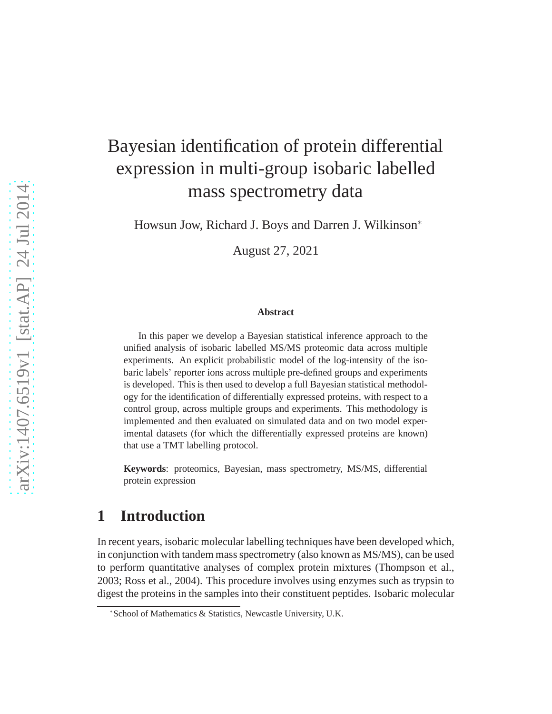# Bayesian identification of protein differential expression in multi-group isobaric labelled mass spectrometry data

Howsun Jow, Richard J. Boys and Darren J. Wilkinson<sup>∗</sup>

August 27, 2021

#### **Abstract**

In this paper we develop a Bayesian statistical inference approach to the unified analysis of isobaric labelled MS/MS proteomic data across multiple experiments. An explicit probabilistic model of the log-intensity of the isobaric labels' reporter ions across multiple pre-defined groups and experiments is developed. This is then used to develop a full Bayesian statistical methodology for the identification of differentially expressed proteins, with respect to a control group, across multiple groups and experiments. This methodology is implemented and then evaluated on simulated data and on two model experimental datasets (for which the differentially expressed proteins are known) that use a TMT labelling protocol.

**Keywords**: proteomics, Bayesian, mass spectrometry, MS/MS, differential protein expression

### **1 Introduction**

In recent years, isobaric molecular labelling techniques have been developed which, in conjunction with tandem mass spectrometry (also known as MS/MS), can be used to perform quantitative analyses of complex protein mixtures (Thompson et al., 2003; Ross et al., 2004). This procedure involves using enzymes such as trypsin to digest the proteins in the samples into their constituent peptides. Isobaric molecular

<sup>∗</sup>School of Mathematics & Statistics, Newcastle University, U.K.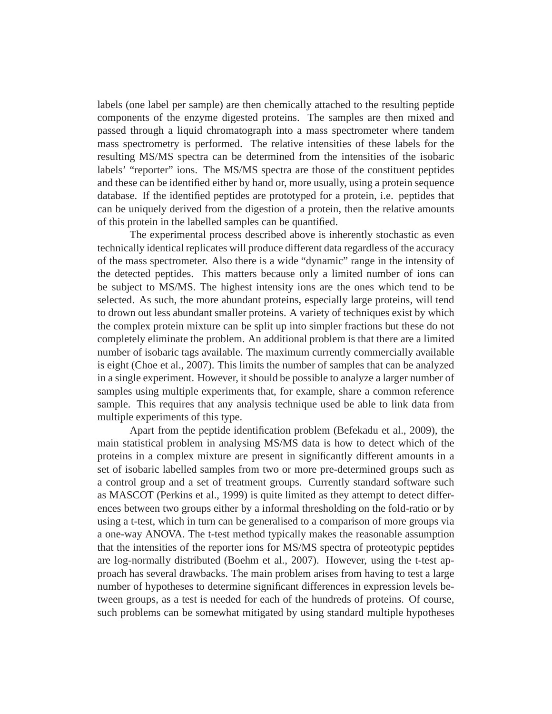labels (one label per sample) are then chemically attached to the resulting peptide components of the enzyme digested proteins. The samples are then mixed and passed through a liquid chromatograph into a mass spectrometer where tandem mass spectrometry is performed. The relative intensities of these labels for the resulting MS/MS spectra can be determined from the intensities of the isobaric labels' "reporter" ions. The MS/MS spectra are those of the constituent peptides and these can be identified either by hand or, more usually, using a protein sequence database. If the identified peptides are prototyped for a protein, i.e. peptides that can be uniquely derived from the digestion of a protein, then the relative amounts of this protein in the labelled samples can be quantified.

The experimental process described above is inherently stochastic as even technically identical replicates will produce different data regardless of the accuracy of the mass spectrometer. Also there is a wide "dynamic" range in the intensity of the detected peptides. This matters because only a limited number of ions can be subject to MS/MS. The highest intensity ions are the ones which tend to be selected. As such, the more abundant proteins, especially large proteins, will tend to drown out less abundant smaller proteins. A variety of techniques exist by which the complex protein mixture can be split up into simpler fractions but these do not completely eliminate the problem. An additional problem is that there are a limited number of isobaric tags available. The maximum currently commercially available is eight (Choe et al., 2007). This limits the number of samples that can be analyzed in a single experiment. However, it should be possible to analyze a larger number of samples using multiple experiments that, for example, share a common reference sample. This requires that any analysis technique used be able to link data from multiple experiments of this type.

Apart from the peptide identification problem (Befekadu et al., 2009), the main statistical problem in analysing MS/MS data is how to detect which of the proteins in a complex mixture are present in significantly different amounts in a set of isobaric labelled samples from two or more pre-determined groups such as a control group and a set of treatment groups. Currently standard software such as MASCOT (Perkins et al., 1999) is quite limited as they attempt to detect differences between two groups either by a informal thresholding on the fold-ratio or by using a t-test, which in turn can be generalised to a comparison of more groups via a one-way ANOVA. The t-test method typically makes the reasonable assumption that the intensities of the reporter ions for MS/MS spectra of proteotypic peptides are log-normally distributed (Boehm et al., 2007). However, using the t-test approach has several drawbacks. The main problem arises from having to test a large number of hypotheses to determine significant differences in expression levels between groups, as a test is needed for each of the hundreds of proteins. Of course, such problems can be somewhat mitigated by using standard multiple hypotheses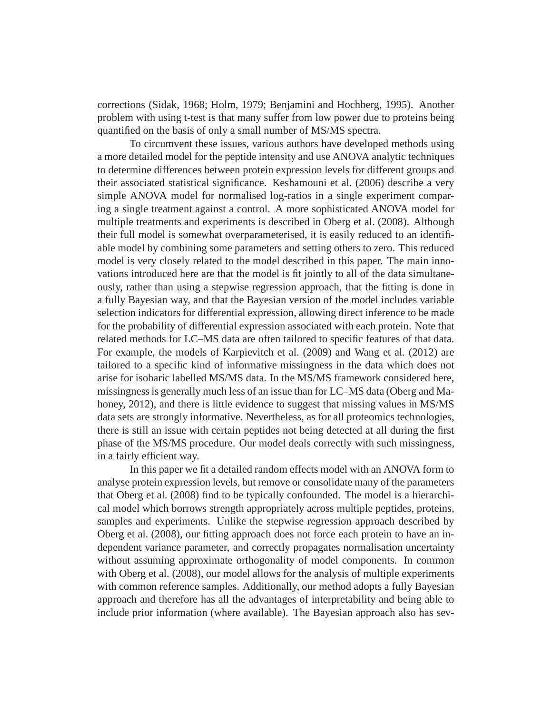corrections (Sidak, 1968; Holm, 1979; Benjamini and Hochberg, 1995). Another problem with using t-test is that many suffer from low power due to proteins being quantified on the basis of only a small number of MS/MS spectra.

To circumvent these issues, various authors have developed methods using a more detailed model for the peptide intensity and use ANOVA analytic techniques to determine differences between protein expression levels for different groups and their associated statistical significance. Keshamouni et al. (2006) describe a very simple ANOVA model for normalised log-ratios in a single experiment comparing a single treatment against a control. A more sophisticated ANOVA model for multiple treatments and experiments is described in Oberg et al. (2008). Although their full model is somewhat overparameterised, it is easily reduced to an identifiable model by combining some parameters and setting others to zero. This reduced model is very closely related to the model described in this paper. The main innovations introduced here are that the model is fit jointly to all of the data simultaneously, rather than using a stepwise regression approach, that the fitting is done in a fully Bayesian way, and that the Bayesian version of the model includes variable selection indicators for differential expression, allowing direct inference to be made for the probability of differential expression associated with each protein. Note that related methods for LC–MS data are often tailored to specific features of that data. For example, the models of Karpievitch et al. (2009) and Wang et al. (2012) are tailored to a specific kind of informative missingness in the data which does not arise for isobaric labelled MS/MS data. In the MS/MS framework considered here, missingness is generally much less of an issue than for LC–MS data (Oberg and Mahoney, 2012), and there is little evidence to suggest that missing values in MS/MS data sets are strongly informative. Nevertheless, as for all proteomics technologies, there is still an issue with certain peptides not being detected at all during the first phase of the MS/MS procedure. Our model deals correctly with such missingness, in a fairly efficient way.

In this paper we fit a detailed random effects model with an ANOVA form to analyse protein expression levels, but remove or consolidate many of the parameters that Oberg et al. (2008) find to be typically confounded. The model is a hierarchical model which borrows strength appropriately across multiple peptides, proteins, samples and experiments. Unlike the stepwise regression approach described by Oberg et al. (2008), our fitting approach does not force each protein to have an independent variance parameter, and correctly propagates normalisation uncertainty without assuming approximate orthogonality of model components. In common with Oberg et al. (2008), our model allows for the analysis of multiple experiments with common reference samples. Additionally, our method adopts a fully Bayesian approach and therefore has all the advantages of interpretability and being able to include prior information (where available). The Bayesian approach also has sev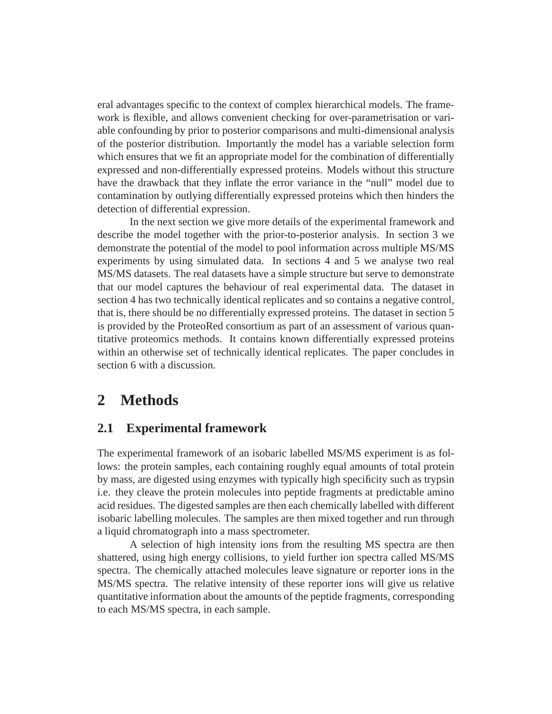eral advantages specific to the context of complex hierarchical models. The framework is flexible, and allows convenient checking for over-parametrisation or variable confounding by prior to posterior comparisons and multi-dimensional analysis of the posterior distribution. Importantly the model has a variable selection form which ensures that we fit an appropriate model for the combination of differentially expressed and non-differentially expressed proteins. Models without this structure have the drawback that they inflate the error variance in the "null" model due to contamination by outlying differentially expressed proteins which then hinders the detection of differential expression.

In the next section we give more details of the experimental framework and describe the model together with the prior-to-posterior analysis. In section 3 we demonstrate the potential of the model to pool information across multiple MS/MS experiments by using simulated data. In sections 4 and 5 we analyse two real MS/MS datasets. The real datasets have a simple structure but serve to demonstrate that our model captures the behaviour of real experimental data. The dataset in section 4 has two technically identical replicates and so contains a negative control, that is, there should be no differentially expressed proteins. The dataset in section 5 is provided by the ProteoRed consortium as part of an assessment of various quantitative proteomics methods. It contains known differentially expressed proteins within an otherwise set of technically identical replicates. The paper concludes in section 6 with a discussion.

## **2 Methods**

### **2.1 Experimental framework**

The experimental framework of an isobaric labelled MS/MS experiment is as follows: the protein samples, each containing roughly equal amounts of total protein by mass, are digested using enzymes with typically high specificity such as trypsin i.e. they cleave the protein molecules into peptide fragments at predictable amino acid residues. The digested samples are then each chemically labelled with different isobaric labelling molecules. The samples are then mixed together and run through a liquid chromatograph into a mass spectrometer.

A selection of high intensity ions from the resulting MS spectra are then shattered, using high energy collisions, to yield further ion spectra called MS/MS spectra. The chemically attached molecules leave signature or reporter ions in the MS/MS spectra. The relative intensity of these reporter ions will give us relative quantitative information about the amounts of the peptide fragments, corresponding to each MS/MS spectra, in each sample.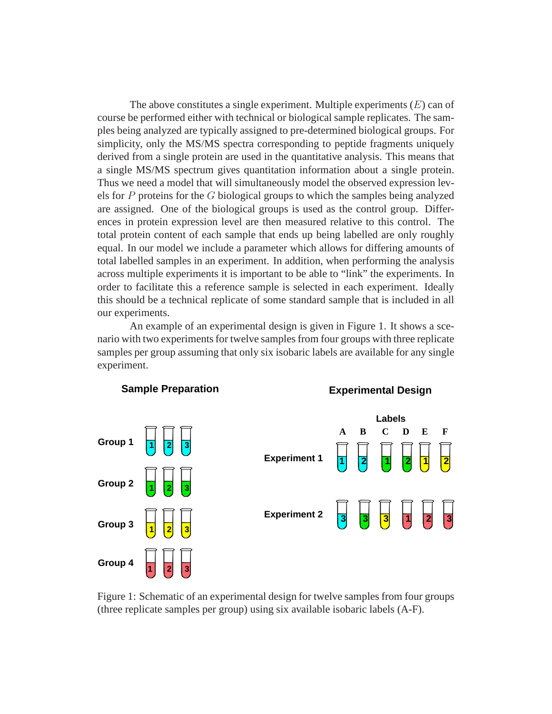The above constitutes a single experiment. Multiple experiments  $(E)$  can of course be performed either with technical or biological sample replicates. The samples being analyzed are typically assigned to pre-determined biological groups. For simplicity, only the MS/MS spectra corresponding to peptide fragments uniquely derived from a single protein are used in the quantitative analysis. This means that a single MS/MS spectrum gives quantitation information about a single protein. Thus we need a model that will simultaneously model the observed expression levels for P proteins for the G biological groups to which the samples being analyzed are assigned. One of the biological groups is used as the control group. Differences in protein expression level are then measured relative to this control. The total protein content of each sample that ends up being labelled are only roughly equal. In our model we include a parameter which allows for differing amounts of total labelled samples in an experiment. In addition, when performing the analysis across multiple experiments it is important to be able to "link" the experiments. In order to facilitate this a reference sample is selected in each experiment. Ideally this should be a technical replicate of some standard sample that is included in all our experiments.

An example of an experimental design is given in Figure 1. It shows a scenario with two experiments for twelve samples from four groups with three replicate samples per group assuming that only six isobaric labels are available for any single experiment.



Figure 1: Schematic of an experimental design for twelve samples from four groups (three replicate samples per group) using six available isobaric labels (A-F).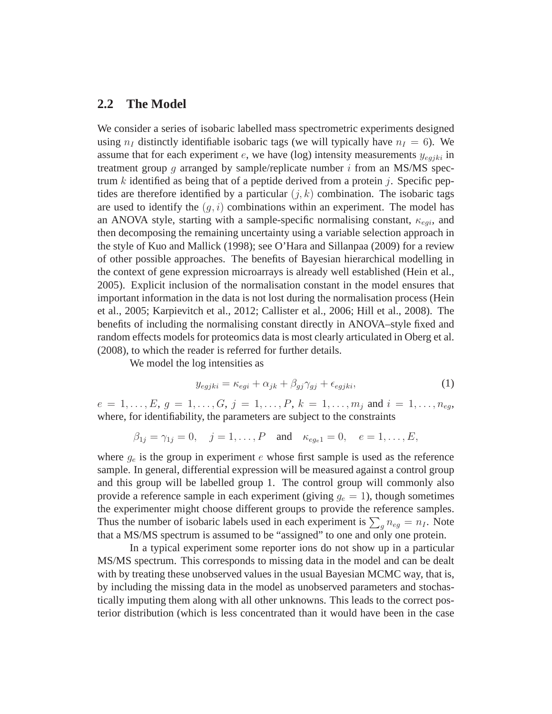#### **2.2 The Model**

We consider a series of isobaric labelled mass spectrometric experiments designed using  $n_I$  distinctly identifiable isobaric tags (we will typically have  $n_I = 6$ ). We assume that for each experiment e, we have (log) intensity measurements  $y_{eqjki}$  in treatment group  $g$  arranged by sample/replicate number  $i$  from an MS/MS spectrum k identified as being that of a peptide derived from a protein j. Specific peptides are therefore identified by a particular  $(j, k)$  combination. The isobaric tags are used to identify the  $(g, i)$  combinations within an experiment. The model has an ANOVA style, starting with a sample-specific normalising constant,  $\kappa_{eqi}$ , and then decomposing the remaining uncertainty using a variable selection approach in the style of Kuo and Mallick (1998); see O'Hara and Sillanpaa (2009) for a review of other possible approaches. The benefits of Bayesian hierarchical modelling in the context of gene expression microarrays is already well established (Hein et al., 2005). Explicit inclusion of the normalisation constant in the model ensures that important information in the data is not lost during the normalisation process (Hein et al., 2005; Karpievitch et al., 2012; Callister et al., 2006; Hill et al., 2008). The benefits of including the normalising constant directly in ANOVA–style fixed and random effects models for proteomics data is most clearly articulated in Oberg et al. (2008), to which the reader is referred for further details.

We model the log intensities as

$$
y_{egjki} = \kappa_{egi} + \alpha_{jk} + \beta_{gj}\gamma_{gj} + \epsilon_{egjki},\tag{1}
$$

 $e = 1, \ldots, E, g = 1, \ldots, G, j = 1, \ldots, P, k = 1, \ldots, m_j$  and  $i = 1, \ldots, n_{eq}$ , where, for identifiability, the parameters are subject to the constraints

$$
\beta_{1j} = \gamma_{1j} = 0
$$
,  $j = 1, ..., P$  and  $\kappa_{e g_e 1} = 0$ ,  $e = 1, ..., E$ ,

where  $g_e$  is the group in experiment e whose first sample is used as the reference sample. In general, differential expression will be measured against a control group and this group will be labelled group 1. The control group will commonly also provide a reference sample in each experiment (giving  $g_e = 1$ ), though sometimes the experimenter might choose different groups to provide the reference samples. Thus the number of isobaric labels used in each experiment is  $\sum_{g} n_{eg} = n_I$ . Note that a MS/MS spectrum is assumed to be "assigned" to one and only one protein.

In a typical experiment some reporter ions do not show up in a particular MS/MS spectrum. This corresponds to missing data in the model and can be dealt with by treating these unobserved values in the usual Bayesian MCMC way, that is, by including the missing data in the model as unobserved parameters and stochastically imputing them along with all other unknowns. This leads to the correct posterior distribution (which is less concentrated than it would have been in the case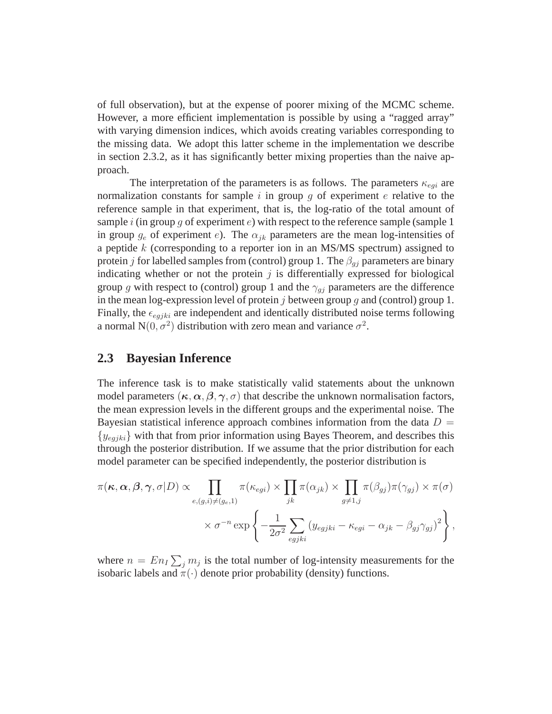of full observation), but at the expense of poorer mixing of the MCMC scheme. However, a more efficient implementation is possible by using a "ragged array" with varying dimension indices, which avoids creating variables corresponding to the missing data. We adopt this latter scheme in the implementation we describe in section 2.3.2, as it has significantly better mixing properties than the naive approach.

The interpretation of the parameters is as follows. The parameters  $\kappa_{egi}$  are normalization constants for sample i in group g of experiment  $e$  relative to the reference sample in that experiment, that is, the log-ratio of the total amount of sample i (in group g of experiment  $e$ ) with respect to the reference sample (sample 1 in group  $g_e$  of experiment e). The  $\alpha_{jk}$  parameters are the mean log-intensities of a peptide k (corresponding to a reporter ion in an MS/MS spectrum) assigned to protein j for labelled samples from (control) group 1. The  $\beta_{qi}$  parameters are binary indicating whether or not the protein  $j$  is differentially expressed for biological group g with respect to (control) group 1 and the  $\gamma_{qj}$  parameters are the difference in the mean log-expression level of protein  $j$  between group  $g$  and (control) group 1. Finally, the  $\epsilon_{egjki}$  are independent and identically distributed noise terms following a normal N $(0, \sigma^2)$  distribution with zero mean and variance  $\sigma^2$ .

#### **2.3 Bayesian Inference**

The inference task is to make statistically valid statements about the unknown model parameters  $(\kappa, \alpha, \beta, \gamma, \sigma)$  that describe the unknown normalisation factors, the mean expression levels in the different groups and the experimental noise. The Bayesian statistical inference approach combines information from the data  $D =$  $\{y_{eqjki}\}\,$  with that from prior information using Bayes Theorem, and describes this through the posterior distribution. If we assume that the prior distribution for each model parameter can be specified independently, the posterior distribution is

$$
\pi(\kappa, \alpha, \beta, \gamma, \sigma | D) \propto \prod_{e, (g,i) \neq (g_e, 1)} \pi(\kappa_{egi}) \times \prod_{jk} \pi(\alpha_{jk}) \times \prod_{g \neq 1, j} \pi(\beta_{gj}) \pi(\gamma_{gj}) \times \pi(\sigma)
$$

$$
\times \sigma^{-n} \exp \left\{-\frac{1}{2\sigma^2} \sum_{egjki} (y_{egjki} - \kappa_{egi} - \alpha_{jk} - \beta_{gj}\gamma_{gj})^2\right\},
$$

where  $n = En_I \sum_j m_j$  is the total number of log-intensity measurements for the isobaric labels and  $\pi(\cdot)$  denote prior probability (density) functions.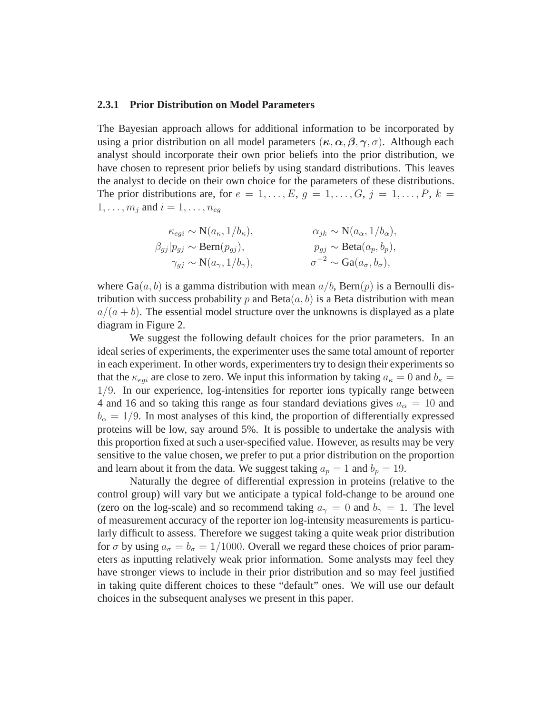#### **2.3.1 Prior Distribution on Model Parameters**

The Bayesian approach allows for additional information to be incorporated by using a prior distribution on all model parameters  $(\kappa, \alpha, \beta, \gamma, \sigma)$ . Although each analyst should incorporate their own prior beliefs into the prior distribution, we have chosen to represent prior beliefs by using standard distributions. This leaves the analyst to decide on their own choice for the parameters of these distributions. The prior distributions are, for  $e = 1, \ldots, E, g = 1, \ldots, G, j = 1, \ldots, P, k =$  $1, \ldots, m_j$  and  $i = 1, \ldots, n_{eg}$ 

$$
\kappa_{egi} \sim N(a_{\kappa}, 1/b_{\kappa}), \qquad \alpha_{jk} \sim N(a_{\alpha}, 1/b_{\alpha}),
$$
  
\n
$$
\beta_{gj}|p_{gj} \sim \text{Bern}(p_{gj}), \qquad p_{gj} \sim \text{Beta}(a_p, b_p),
$$
  
\n
$$
\gamma_{gj} \sim N(a_{\gamma}, 1/b_{\gamma}), \qquad \sigma^{-2} \sim \text{Ga}(a_{\sigma}, b_{\sigma}),
$$

where  $Ga(a, b)$  is a gamma distribution with mean  $a/b$ , Bern $(p)$  is a Bernoulli distribution with success probability p and  $Beta(a, b)$  is a Beta distribution with mean  $a/(a + b)$ . The essential model structure over the unknowns is displayed as a plate diagram in Figure 2.

We suggest the following default choices for the prior parameters. In an ideal series of experiments, the experimenter uses the same total amount of reporter in each experiment. In other words, experimenters try to design their experiments so that the  $\kappa_{eqi}$  are close to zero. We input this information by taking  $a_{\kappa} = 0$  and  $b_{\kappa} =$ 1/9. In our experience, log-intensities for reporter ions typically range between 4 and 16 and so taking this range as four standard deviations gives  $a_{\alpha} = 10$  and  $b_{\alpha} = 1/9$ . In most analyses of this kind, the proportion of differentially expressed proteins will be low, say around 5%. It is possible to undertake the analysis with this proportion fixed at such a user-specified value. However, as results may be very sensitive to the value chosen, we prefer to put a prior distribution on the proportion and learn about it from the data. We suggest taking  $a_p = 1$  and  $b_p = 19$ .

Naturally the degree of differential expression in proteins (relative to the control group) will vary but we anticipate a typical fold-change to be around one (zero on the log-scale) and so recommend taking  $a_{\gamma} = 0$  and  $b_{\gamma} = 1$ . The level of measurement accuracy of the reporter ion log-intensity measurements is particularly difficult to assess. Therefore we suggest taking a quite weak prior distribution for  $\sigma$  by using  $a_{\sigma} = b_{\sigma} = 1/1000$ . Overall we regard these choices of prior parameters as inputting relatively weak prior information. Some analysts may feel they have stronger views to include in their prior distribution and so may feel justified in taking quite different choices to these "default" ones. We will use our default choices in the subsequent analyses we present in this paper.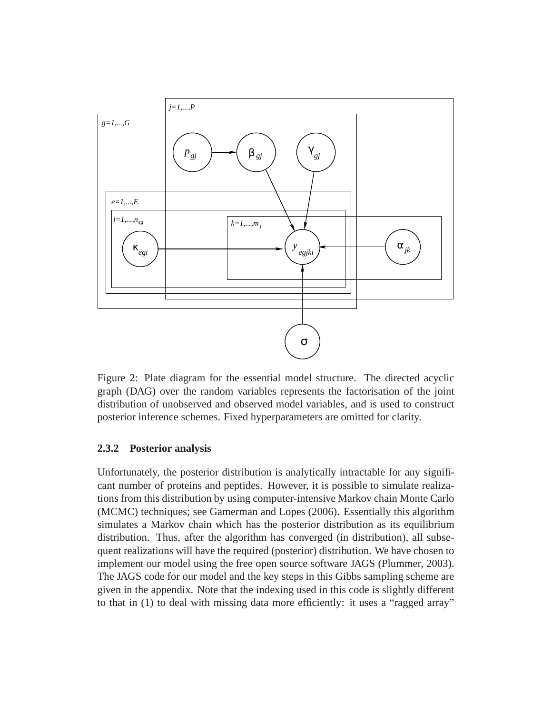

Figure 2: Plate diagram for the essential model structure. The directed acyclic graph (DAG) over the random variables represents the factorisation of the joint distribution of unobserved and observed model variables, and is used to construct posterior inference schemes. Fixed hyperparameters are omitted for clarity.

#### **2.3.2 Posterior analysis**

Unfortunately, the posterior distribution is analytically intractable for any significant number of proteins and peptides. However, it is possible to simulate realizations from this distribution by using computer-intensive Markov chain Monte Carlo (MCMC) techniques; see Gamerman and Lopes (2006). Essentially this algorithm simulates a Markov chain which has the posterior distribution as its equilibrium distribution. Thus, after the algorithm has converged (in distribution), all subsequent realizations will have the required (posterior) distribution. We have chosen to implement our model using the free open source software JAGS (Plummer, 2003). The JAGS code for our model and the key steps in this Gibbs sampling scheme are given in the appendix. Note that the indexing used in this code is slightly different to that in (1) to deal with missing data more efficiently: it uses a "ragged array"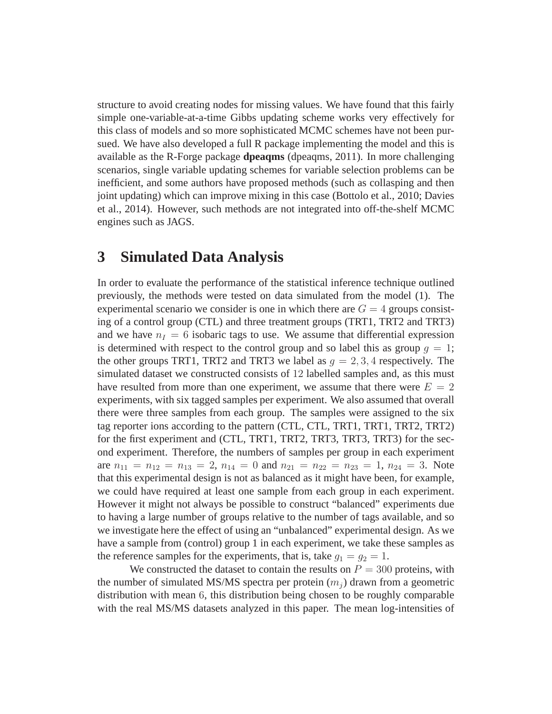structure to avoid creating nodes for missing values. We have found that this fairly simple one-variable-at-a-time Gibbs updating scheme works very effectively for this class of models and so more sophisticated MCMC schemes have not been pursued. We have also developed a full R package implementing the model and this is available as the R-Forge package **dpeaqms** (dpeaqms, 2011). In more challenging scenarios, single variable updating schemes for variable selection problems can be inefficient, and some authors have proposed methods (such as collasping and then joint updating) which can improve mixing in this case (Bottolo et al., 2010; Davies et al., 2014). However, such methods are not integrated into off-the-shelf MCMC engines such as JAGS.

### **3 Simulated Data Analysis**

In order to evaluate the performance of the statistical inference technique outlined previously, the methods were tested on data simulated from the model (1). The experimental scenario we consider is one in which there are  $G = 4$  groups consisting of a control group (CTL) and three treatment groups (TRT1, TRT2 and TRT3) and we have  $n_I = 6$  isobaric tags to use. We assume that differential expression is determined with respect to the control group and so label this as group  $q = 1$ ; the other groups TRT1, TRT2 and TRT3 we label as  $q = 2, 3, 4$  respectively. The simulated dataset we constructed consists of 12 labelled samples and, as this must have resulted from more than one experiment, we assume that there were  $E = 2$ experiments, with six tagged samples per experiment. We also assumed that overall there were three samples from each group. The samples were assigned to the six tag reporter ions according to the pattern (CTL, CTL, TRT1, TRT1, TRT2, TRT2) for the first experiment and (CTL, TRT1, TRT2, TRT3, TRT3, TRT3) for the second experiment. Therefore, the numbers of samples per group in each experiment are  $n_{11} = n_{12} = n_{13} = 2$ ,  $n_{14} = 0$  and  $n_{21} = n_{22} = n_{23} = 1$ ,  $n_{24} = 3$ . Note that this experimental design is not as balanced as it might have been, for example, we could have required at least one sample from each group in each experiment. However it might not always be possible to construct "balanced" experiments due to having a large number of groups relative to the number of tags available, and so we investigate here the effect of using an "unbalanced" experimental design. As we have a sample from (control) group 1 in each experiment, we take these samples as the reference samples for the experiments, that is, take  $g_1 = g_2 = 1$ .

We constructed the dataset to contain the results on  $P = 300$  proteins, with the number of simulated MS/MS spectra per protein  $(m_i)$  drawn from a geometric distribution with mean 6, this distribution being chosen to be roughly comparable with the real MS/MS datasets analyzed in this paper. The mean log-intensities of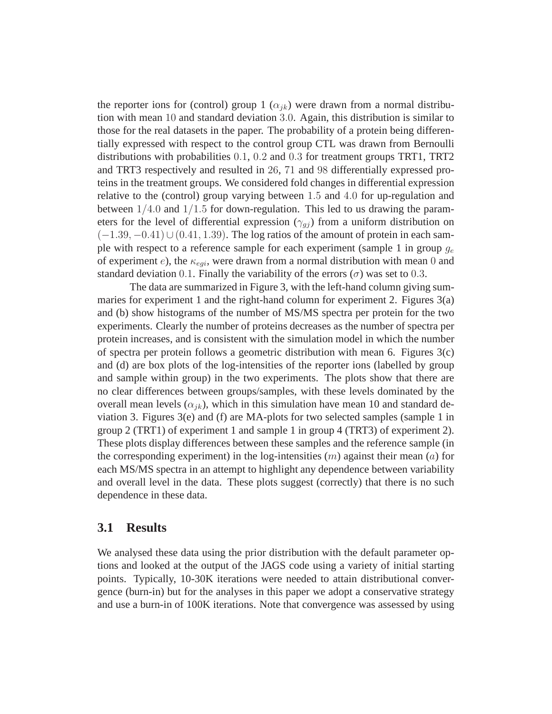the reporter ions for (control) group 1 ( $\alpha_{ik}$ ) were drawn from a normal distribution with mean 10 and standard deviation 3.0. Again, this distribution is similar to those for the real datasets in the paper. The probability of a protein being differentially expressed with respect to the control group CTL was drawn from Bernoulli distributions with probabilities 0.1, 0.2 and 0.3 for treatment groups TRT1, TRT2 and TRT3 respectively and resulted in 26, 71 and 98 differentially expressed proteins in the treatment groups. We considered fold changes in differential expression relative to the (control) group varying between 1.5 and 4.0 for up-regulation and between  $1/4.0$  and  $1/1.5$  for down-regulation. This led to us drawing the parameters for the level of differential expression ( $\gamma_{gj}$ ) from a uniform distribution on  $(-1.39, -0.41) \cup (0.41, 1.39)$ . The log ratios of the amount of protein in each sample with respect to a reference sample for each experiment (sample 1 in group  $g_e$ of experiment  $e$ ), the  $\kappa_{\text{eqi}}$ , were drawn from a normal distribution with mean 0 and standard deviation 0.1. Finally the variability of the errors  $(\sigma)$  was set to 0.3.

The data are summarized in Figure 3, with the left-hand column giving summaries for experiment 1 and the right-hand column for experiment 2. Figures 3(a) and (b) show histograms of the number of MS/MS spectra per protein for the two experiments. Clearly the number of proteins decreases as the number of spectra per protein increases, and is consistent with the simulation model in which the number of spectra per protein follows a geometric distribution with mean 6. Figures 3(c) and (d) are box plots of the log-intensities of the reporter ions (labelled by group and sample within group) in the two experiments. The plots show that there are no clear differences between groups/samples, with these levels dominated by the overall mean levels ( $\alpha_{ik}$ ), which in this simulation have mean 10 and standard deviation 3. Figures  $3(e)$  and (f) are MA-plots for two selected samples (sample 1 in group 2 (TRT1) of experiment 1 and sample 1 in group 4 (TRT3) of experiment 2). These plots display differences between these samples and the reference sample (in the corresponding experiment) in the log-intensities  $(m)$  against their mean  $(a)$  for each MS/MS spectra in an attempt to highlight any dependence between variability and overall level in the data. These plots suggest (correctly) that there is no such dependence in these data.

#### **3.1 Results**

We analysed these data using the prior distribution with the default parameter options and looked at the output of the JAGS code using a variety of initial starting points. Typically, 10-30K iterations were needed to attain distributional convergence (burn-in) but for the analyses in this paper we adopt a conservative strategy and use a burn-in of 100K iterations. Note that convergence was assessed by using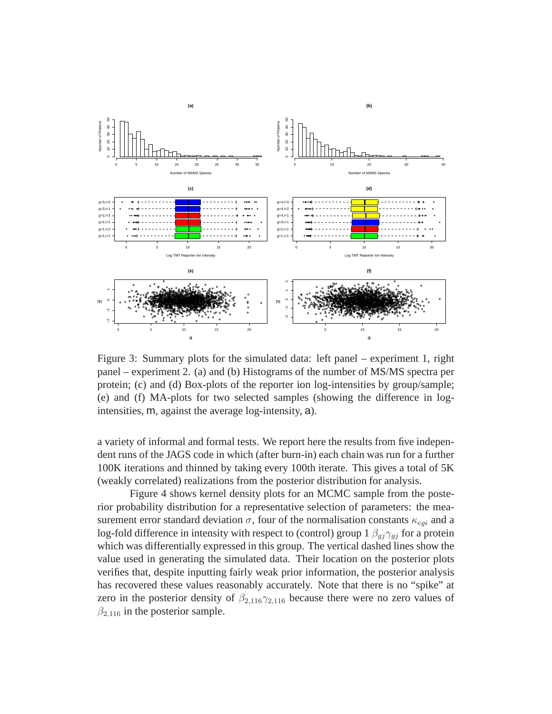

Figure 3: Summary plots for the simulated data: left panel – experiment 1, right panel – experiment 2. (a) and (b) Histograms of the number of MS/MS spectra per protein; (c) and (d) Box-plots of the reporter ion log-intensities by group/sample; (e) and (f) MA-plots for two selected samples (showing the difference in logintensities, m, against the average log-intensity, a).

a variety of informal and formal tests. We report here the results from five independent runs of the JAGS code in which (after burn-in) each chain was run for a further 100K iterations and thinned by taking every 100th iterate. This gives a total of 5K (weakly correlated) realizations from the posterior distribution for analysis.

Figure 4 shows kernel density plots for an MCMC sample from the posterior probability distribution for a representative selection of parameters: the measurement error standard deviation  $\sigma$ , four of the normalisation constants  $\kappa_{eqi}$  and a log-fold difference in intensity with respect to (control) group  $1 \beta_{qj} \gamma_{qj}$  for a protein which was differentially expressed in this group. The vertical dashed lines show the value used in generating the simulated data. Their location on the posterior plots verifies that, despite inputting fairly weak prior information, the posterior analysis has recovered these values reasonably accurately. Note that there is no "spike" at zero in the posterior density of  $\beta_{2,116}\gamma_{2,116}$  because there were no zero values of  $\beta_{2,116}$  in the posterior sample.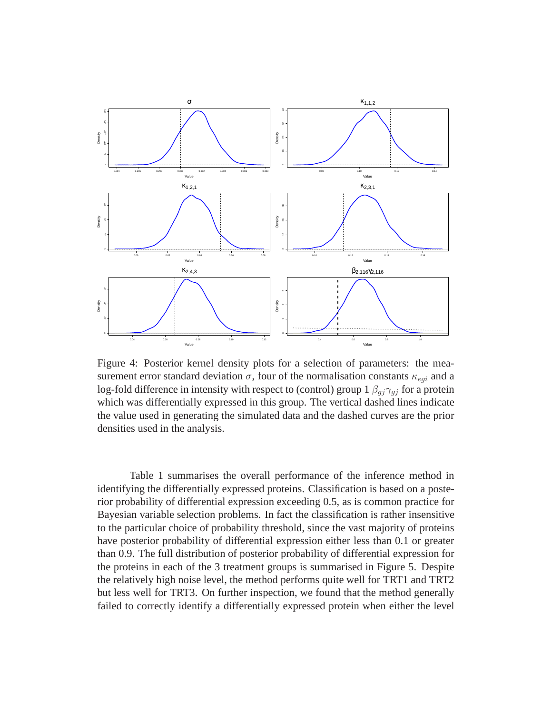

Figure 4: Posterior kernel density plots for a selection of parameters: the measurement error standard deviation  $\sigma$ , four of the normalisation constants  $\kappa_{egi}$  and a log-fold difference in intensity with respect to (control) group  $1 \beta_{gj} \gamma_{gj}$  for a protein which was differentially expressed in this group. The vertical dashed lines indicate the value used in generating the simulated data and the dashed curves are the prior densities used in the analysis.

Table 1 summarises the overall performance of the inference method in identifying the differentially expressed proteins. Classification is based on a posterior probability of differential expression exceeding 0.5, as is common practice for Bayesian variable selection problems. In fact the classification is rather insensitive to the particular choice of probability threshold, since the vast majority of proteins have posterior probability of differential expression either less than 0.1 or greater than 0.9. The full distribution of posterior probability of differential expression for the proteins in each of the 3 treatment groups is summarised in Figure 5. Despite the relatively high noise level, the method performs quite well for TRT1 and TRT2 but less well for TRT3. On further inspection, we found that the method generally failed to correctly identify a differentially expressed protein when either the level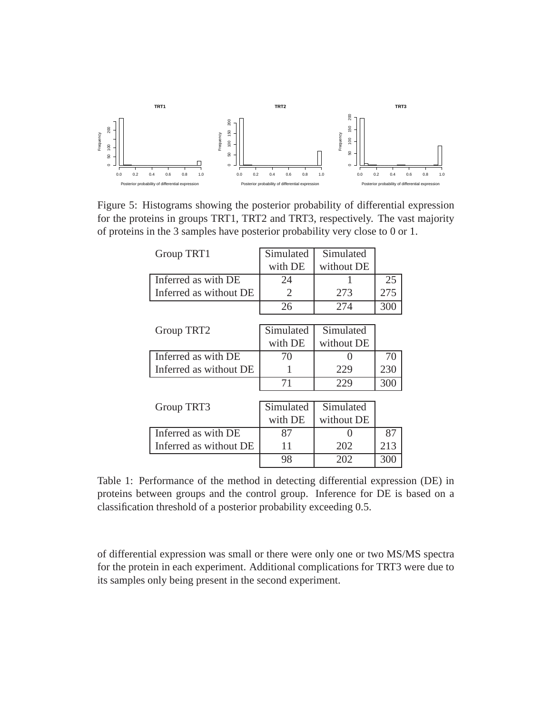

Figure 5: Histograms showing the posterior probability of differential expression for the proteins in groups TRT1, TRT2 and TRT3, respectively. The vast majority of proteins in the 3 samples have posterior probability very close to 0 or 1.

| Group TRT1             | Simulated | Simulated  |     |  |
|------------------------|-----------|------------|-----|--|
|                        | with DE   | without DE |     |  |
| Inferred as with DE    | 24        |            | 25  |  |
| Inferred as without DE | 2         | 273        | 275 |  |
|                        | 26        | 274        | 300 |  |
|                        |           |            |     |  |
| Group TRT2             | Simulated | Simulated  |     |  |
|                        | with DE   | without DE |     |  |
| Inferred as with DE    | 70        |            | 70  |  |
| Inferred as without DE | 1         | 229        | 230 |  |
|                        | 71        | 229        | 300 |  |
|                        |           |            |     |  |
| Group TRT3             | Simulated | Simulated  |     |  |
|                        | with DE   | without DE |     |  |
| Inferred as with DE    | 87        |            | 87  |  |
| Inferred as without DE | 11        | 202        | 213 |  |
|                        | 98        | 202        | 300 |  |

Table 1: Performance of the method in detecting differential expression (DE) in proteins between groups and the control group. Inference for DE is based on a classification threshold of a posterior probability exceeding 0.5.

of differential expression was small or there were only one or two MS/MS spectra for the protein in each experiment. Additional complications for TRT3 were due to its samples only being present in the second experiment.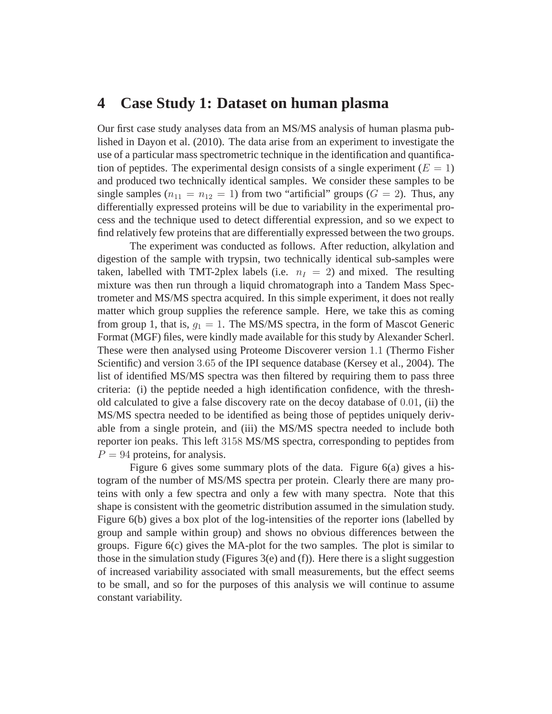### **4 Case Study 1: Dataset on human plasma**

Our first case study analyses data from an MS/MS analysis of human plasma published in Dayon et al. (2010). The data arise from an experiment to investigate the use of a particular mass spectrometric technique in the identification and quantification of peptides. The experimental design consists of a single experiment ( $E = 1$ ) and produced two technically identical samples. We consider these samples to be single samples  $(n_{11} = n_{12} = 1)$  from two "artificial" groups  $(G = 2)$ . Thus, any differentially expressed proteins will be due to variability in the experimental process and the technique used to detect differential expression, and so we expect to find relatively few proteins that are differentially expressed between the two groups.

The experiment was conducted as follows. After reduction, alkylation and digestion of the sample with trypsin, two technically identical sub-samples were taken, labelled with TMT-2plex labels (i.e.  $n_1 = 2$ ) and mixed. The resulting mixture was then run through a liquid chromatograph into a Tandem Mass Spectrometer and MS/MS spectra acquired. In this simple experiment, it does not really matter which group supplies the reference sample. Here, we take this as coming from group 1, that is,  $q_1 = 1$ . The MS/MS spectra, in the form of Mascot Generic Format (MGF) files, were kindly made available for this study by Alexander Scherl. These were then analysed using Proteome Discoverer version 1.1 (Thermo Fisher Scientific) and version 3.65 of the IPI sequence database (Kersey et al., 2004). The list of identified MS/MS spectra was then filtered by requiring them to pass three criteria: (i) the peptide needed a high identification confidence, with the threshold calculated to give a false discovery rate on the decoy database of 0.01, (ii) the MS/MS spectra needed to be identified as being those of peptides uniquely derivable from a single protein, and (iii) the MS/MS spectra needed to include both reporter ion peaks. This left 3158 MS/MS spectra, corresponding to peptides from  $P = 94$  proteins, for analysis.

Figure 6 gives some summary plots of the data. Figure 6(a) gives a histogram of the number of MS/MS spectra per protein. Clearly there are many proteins with only a few spectra and only a few with many spectra. Note that this shape is consistent with the geometric distribution assumed in the simulation study. Figure 6(b) gives a box plot of the log-intensities of the reporter ions (labelled by group and sample within group) and shows no obvious differences between the groups. Figure 6(c) gives the MA-plot for the two samples. The plot is similar to those in the simulation study (Figures 3(e) and (f)). Here there is a slight suggestion of increased variability associated with small measurements, but the effect seems to be small, and so for the purposes of this analysis we will continue to assume constant variability.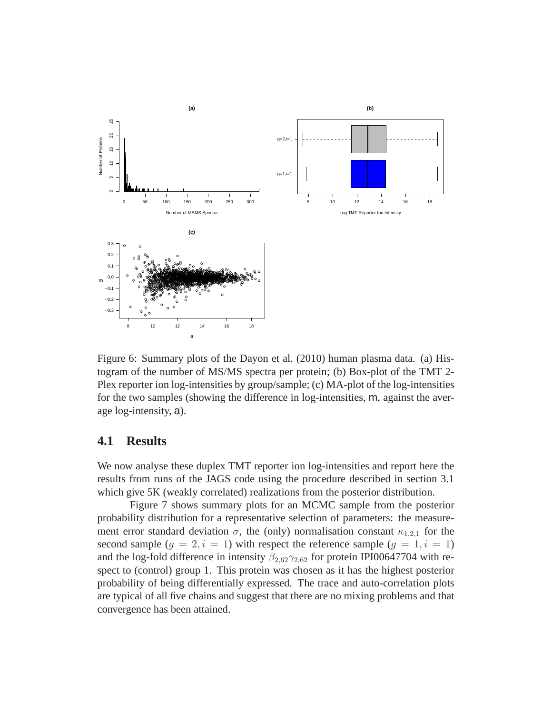

Figure 6: Summary plots of the Dayon et al. (2010) human plasma data. (a) Histogram of the number of MS/MS spectra per protein; (b) Box-plot of the TMT 2- Plex reporter ion log-intensities by group/sample; (c) MA-plot of the log-intensities for the two samples (showing the difference in log-intensities, m, against the average log-intensity, a).

#### **4.1 Results**

We now analyse these duplex TMT reporter ion log-intensities and report here the results from runs of the JAGS code using the procedure described in section 3.1 which give 5K (weakly correlated) realizations from the posterior distribution.

Figure 7 shows summary plots for an MCMC sample from the posterior probability distribution for a representative selection of parameters: the measurement error standard deviation  $\sigma$ , the (only) normalisation constant  $\kappa_{1,2,1}$  for the second sample  $(g = 2, i = 1)$  with respect the reference sample  $(g = 1, i = 1)$ and the log-fold difference in intensity  $\beta_{2,62}\gamma_{2,62}$  for protein IPI00647704 with respect to (control) group 1. This protein was chosen as it has the highest posterior probability of being differentially expressed. The trace and auto-correlation plots are typical of all five chains and suggest that there are no mixing problems and that convergence has been attained.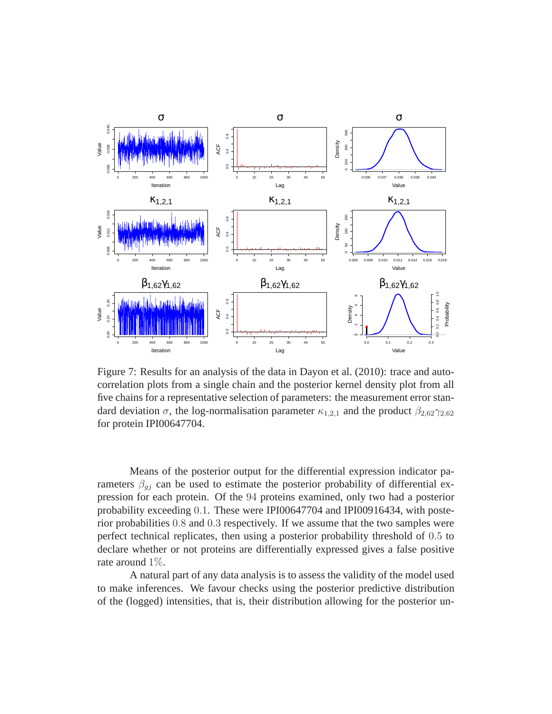

Figure 7: Results for an analysis of the data in Dayon et al. (2010): trace and autocorrelation plots from a single chain and the posterior kernel density plot from all five chains for a representative selection of parameters: the measurement error standard deviation  $\sigma$ , the log-normalisation parameter  $\kappa_{1,2,1}$  and the product  $\beta_{2,62}\gamma_{2,62}$ for protein IPI00647704.

Means of the posterior output for the differential expression indicator parameters  $\beta_{gj}$  can be used to estimate the posterior probability of differential expression for each protein. Of the 94 proteins examined, only two had a posterior probability exceeding 0.1. These were IPI00647704 and IPI00916434, with posterior probabilities 0.8 and 0.3 respectively. If we assume that the two samples were perfect technical replicates, then using a posterior probability threshold of 0.5 to declare whether or not proteins are differentially expressed gives a false positive rate around 1%.

A natural part of any data analysis is to assess the validity of the model used to make inferences. We favour checks using the posterior predictive distribution of the (logged) intensities, that is, their distribution allowing for the posterior un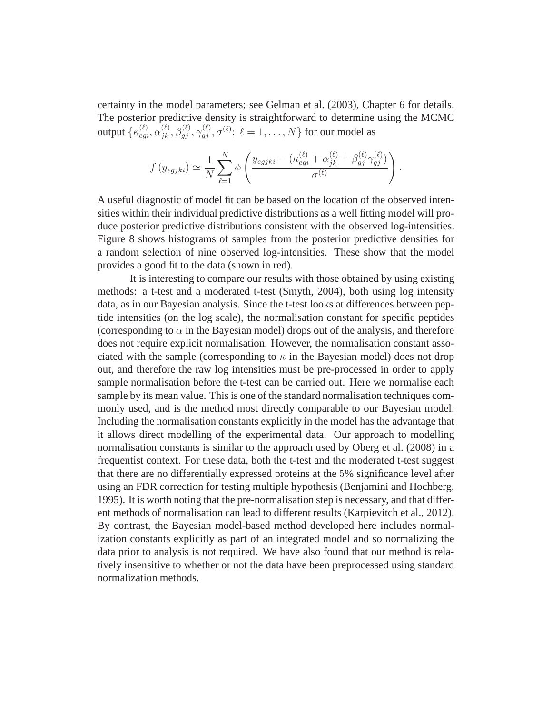certainty in the model parameters; see Gelman et al. (2003), Chapter 6 for details. The posterior predictive density is straightforward to determine using the MCMC output  $\{\kappa_{egi}^{(\ell)}, \alpha_{jk}^{(\ell)}, \beta_{gj}^{(\ell)}, \gamma_{gj}^{(\ell)}, \sigma^{(\ell)}; \ \ell=1,\ldots,N\}$  for our model as

$$
f(y_{egjki}) \simeq \frac{1}{N} \sum_{\ell=1}^{N} \phi \left( \frac{y_{egjki} - (\kappa_{egi}^{(\ell)} + \alpha_{jk}^{(\ell)} + \beta_{gj}^{(\ell)} \gamma_{gj}^{(\ell)})}{\sigma^{(\ell)}} \right)
$$

.

A useful diagnostic of model fit can be based on the location of the observed intensities within their individual predictive distributions as a well fitting model will produce posterior predictive distributions consistent with the observed log-intensities. Figure 8 shows histograms of samples from the posterior predictive densities for a random selection of nine observed log-intensities. These show that the model provides a good fit to the data (shown in red).

It is interesting to compare our results with those obtained by using existing methods: a t-test and a moderated t-test (Smyth, 2004), both using log intensity data, as in our Bayesian analysis. Since the t-test looks at differences between peptide intensities (on the log scale), the normalisation constant for specific peptides (corresponding to  $\alpha$  in the Bayesian model) drops out of the analysis, and therefore does not require explicit normalisation. However, the normalisation constant associated with the sample (corresponding to  $\kappa$  in the Bayesian model) does not drop out, and therefore the raw log intensities must be pre-processed in order to apply sample normalisation before the t-test can be carried out. Here we normalise each sample by its mean value. This is one of the standard normalisation techniques commonly used, and is the method most directly comparable to our Bayesian model. Including the normalisation constants explicitly in the model has the advantage that it allows direct modelling of the experimental data. Our approach to modelling normalisation constants is similar to the approach used by Oberg et al. (2008) in a frequentist context. For these data, both the t-test and the moderated t-test suggest that there are no differentially expressed proteins at the 5% significance level after using an FDR correction for testing multiple hypothesis (Benjamini and Hochberg, 1995). It is worth noting that the pre-normalisation step is necessary, and that different methods of normalisation can lead to different results (Karpievitch et al., 2012). By contrast, the Bayesian model-based method developed here includes normalization constants explicitly as part of an integrated model and so normalizing the data prior to analysis is not required. We have also found that our method is relatively insensitive to whether or not the data have been preprocessed using standard normalization methods.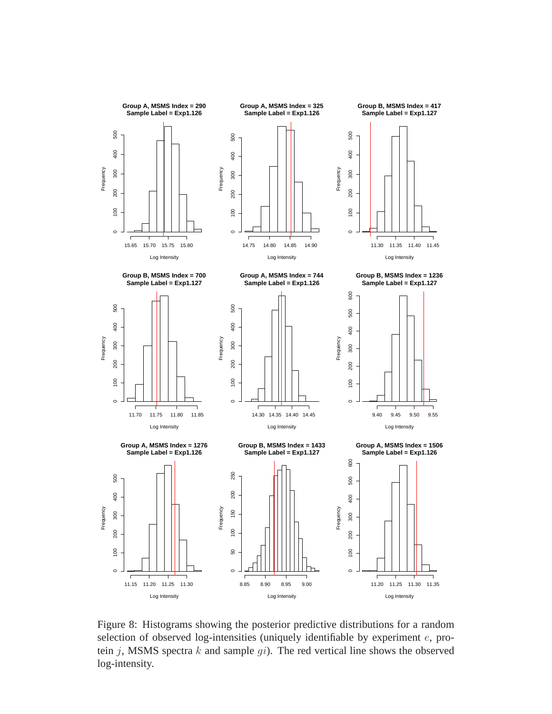

Figure 8: Histograms showing the posterior predictive distributions for a random selection of observed log-intensities (uniquely identifiable by experiment  $e$ , protein j, MSMS spectra  $k$  and sample  $qi$ ). The red vertical line shows the observed log-intensity.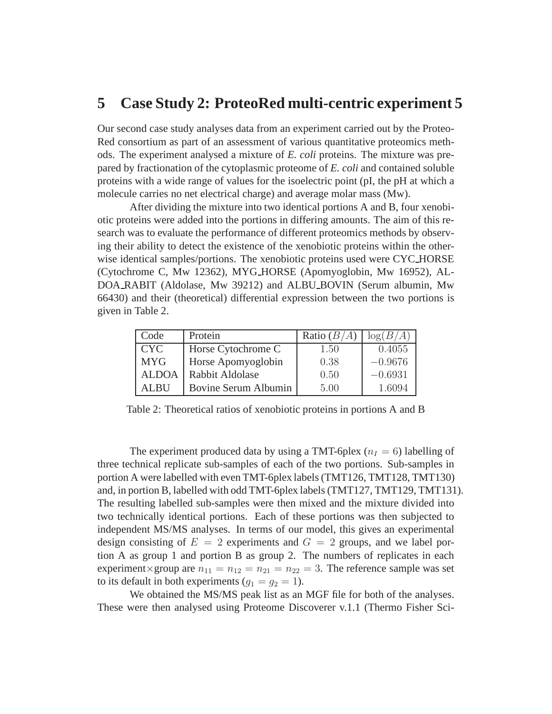### **5 Case Study 2: ProteoRed multi-centric experiment 5**

Our second case study analyses data from an experiment carried out by the Proteo-Red consortium as part of an assessment of various quantitative proteomics methods. The experiment analysed a mixture of *E. coli* proteins. The mixture was prepared by fractionation of the cytoplasmic proteome of *E. coli* and contained soluble proteins with a wide range of values for the isoelectric point (pI, the pH at which a molecule carries no net electrical charge) and average molar mass (Mw).

After dividing the mixture into two identical portions A and B, four xenobiotic proteins were added into the portions in differing amounts. The aim of this research was to evaluate the performance of different proteomics methods by observing their ability to detect the existence of the xenobiotic proteins within the otherwise identical samples/portions. The xenobiotic proteins used were CYC HORSE (Cytochrome C, Mw 12362), MYG HORSE (Apomyoglobin, Mw 16952), AL-DOA RABIT (Aldolase, Mw 39212) and ALBU BOVIN (Serum albumin, Mw 66430) and their (theoretical) differential expression between the two portions is given in Table 2.

| Code         | Protein              | Ratio $(B/A)$ | $\log(B/A)$ |
|--------------|----------------------|---------------|-------------|
| <b>CYC</b>   | Horse Cytochrome C   | 1.50          | 0.4055      |
| <b>MYG</b>   | Horse Apomyoglobin   | 0.38          | $-0.9676$   |
| <b>ALDOA</b> | Rabbit Aldolase      | 0.50          | $-0.6931$   |
| <b>ALBU</b>  | Bovine Serum Albumin | 5.00          | 1.6094      |

Table 2: Theoretical ratios of xenobiotic proteins in portions A and B

The experiment produced data by using a TMT-6plex  $(n_I = 6)$  labelling of three technical replicate sub-samples of each of the two portions. Sub-samples in portion A were labelled with even TMT-6plex labels (TMT126, TMT128, TMT130) and, in portion B, labelled with odd TMT-6plex labels (TMT127, TMT129, TMT131). The resulting labelled sub-samples were then mixed and the mixture divided into two technically identical portions. Each of these portions was then subjected to independent MS/MS analyses. In terms of our model, this gives an experimental design consisting of  $E = 2$  experiments and  $G = 2$  groups, and we label portion A as group 1 and portion B as group 2. The numbers of replicates in each experiment×group are  $n_{11} = n_{12} = n_{21} = n_{22} = 3$ . The reference sample was set to its default in both experiments  $(q_1 = q_2 = 1)$ .

We obtained the MS/MS peak list as an MGF file for both of the analyses. These were then analysed using Proteome Discoverer v.1.1 (Thermo Fisher Sci-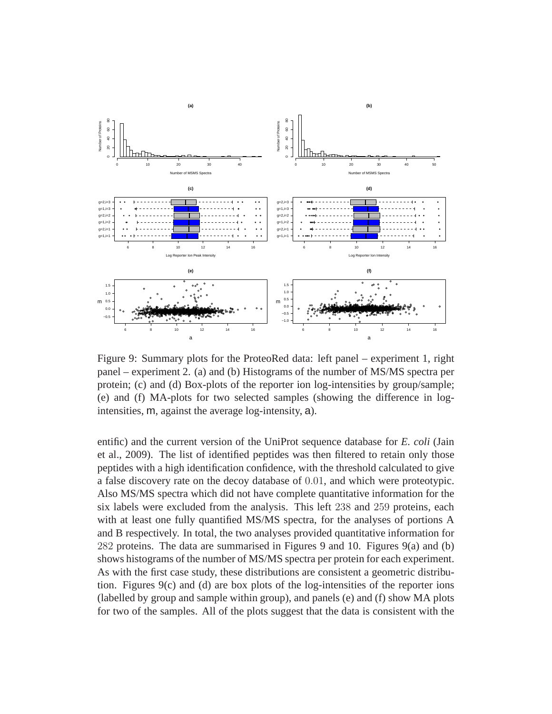

Figure 9: Summary plots for the ProteoRed data: left panel – experiment 1, right panel – experiment 2. (a) and (b) Histograms of the number of MS/MS spectra per protein; (c) and (d) Box-plots of the reporter ion log-intensities by group/sample; (e) and (f) MA-plots for two selected samples (showing the difference in logintensities, m, against the average log-intensity, a).

entific) and the current version of the UniProt sequence database for *E. coli* (Jain et al., 2009). The list of identified peptides was then filtered to retain only those peptides with a high identification confidence, with the threshold calculated to give a false discovery rate on the decoy database of 0.01, and which were proteotypic. Also MS/MS spectra which did not have complete quantitative information for the six labels were excluded from the analysis. This left 238 and 259 proteins, each with at least one fully quantified MS/MS spectra, for the analyses of portions A and B respectively. In total, the two analyses provided quantitative information for 282 proteins. The data are summarised in Figures 9 and 10. Figures 9(a) and (b) shows histograms of the number of MS/MS spectra per protein for each experiment. As with the first case study, these distributions are consistent a geometric distribution. Figures  $9(c)$  and (d) are box plots of the log-intensities of the reporter ions (labelled by group and sample within group), and panels (e) and (f) show MA plots for two of the samples. All of the plots suggest that the data is consistent with the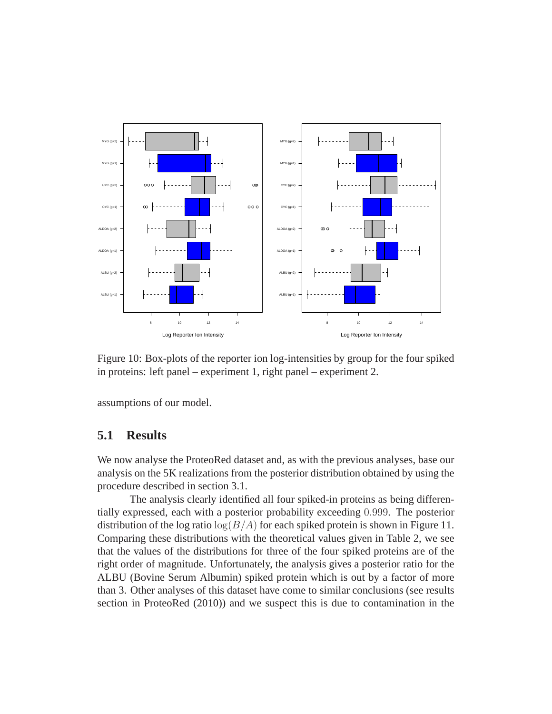

Figure 10: Box-plots of the reporter ion log-intensities by group for the four spiked in proteins: left panel – experiment 1, right panel – experiment 2.

assumptions of our model.

#### **5.1 Results**

We now analyse the ProteoRed dataset and, as with the previous analyses, base our analysis on the 5K realizations from the posterior distribution obtained by using the procedure described in section 3.1.

The analysis clearly identified all four spiked-in proteins as being differentially expressed, each with a posterior probability exceeding 0.999. The posterior distribution of the log ratio  $log(B/A)$  for each spiked protein is shown in Figure 11. Comparing these distributions with the theoretical values given in Table 2, we see that the values of the distributions for three of the four spiked proteins are of the right order of magnitude. Unfortunately, the analysis gives a posterior ratio for the ALBU (Bovine Serum Albumin) spiked protein which is out by a factor of more than 3. Other analyses of this dataset have come to similar conclusions (see results section in ProteoRed (2010)) and we suspect this is due to contamination in the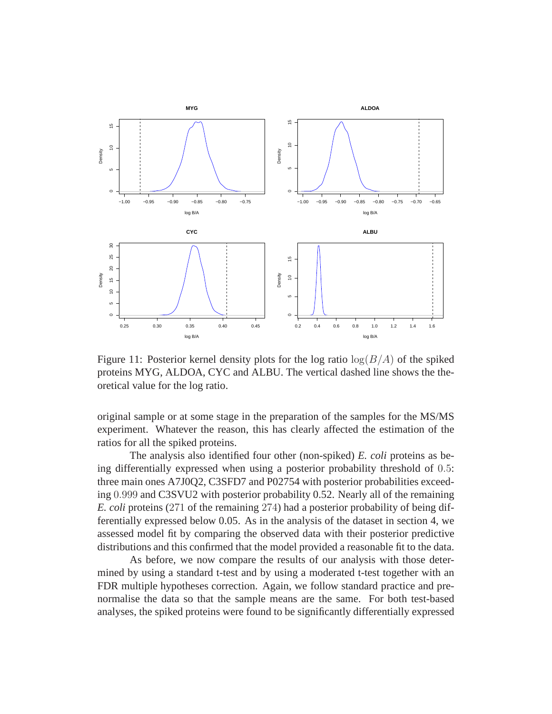

Figure 11: Posterior kernel density plots for the log ratio  $log(B/A)$  of the spiked proteins MYG, ALDOA, CYC and ALBU. The vertical dashed line shows the theoretical value for the log ratio.

original sample or at some stage in the preparation of the samples for the MS/MS experiment. Whatever the reason, this has clearly affected the estimation of the ratios for all the spiked proteins.

The analysis also identified four other (non-spiked) *E. coli* proteins as being differentially expressed when using a posterior probability threshold of 0.5: three main ones A7J0Q2, C3SFD7 and P02754 with posterior probabilities exceeding 0.999 and C3SVU2 with posterior probability 0.52. Nearly all of the remaining *E. coli* proteins (271 of the remaining 274) had a posterior probability of being differentially expressed below 0.05. As in the analysis of the dataset in section 4, we assessed model fit by comparing the observed data with their posterior predictive distributions and this confirmed that the model provided a reasonable fit to the data.

As before, we now compare the results of our analysis with those determined by using a standard t-test and by using a moderated t-test together with an FDR multiple hypotheses correction. Again, we follow standard practice and prenormalise the data so that the sample means are the same. For both test-based analyses, the spiked proteins were found to be significantly differentially expressed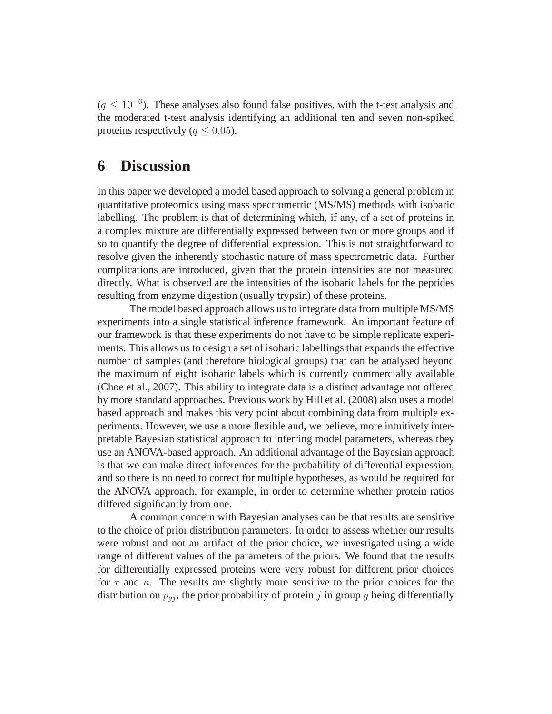$(q \leq 10^{-6})$ . These analyses also found false positives, with the t-test analysis and the moderated t-test analysis identifying an additional ten and seven non-spiked proteins respectively ( $q \leq 0.05$ ).

### **6 Discussion**

In this paper we developed a model based approach to solving a general problem in quantitative proteomics using mass spectrometric (MS/MS) methods with isobaric labelling. The problem is that of determining which, if any, of a set of proteins in a complex mixture are differentially expressed between two or more groups and if so to quantify the degree of differential expression. This is not straightforward to resolve given the inherently stochastic nature of mass spectrometric data. Further complications are introduced, given that the protein intensities are not measured directly. What is observed are the intensities of the isobaric labels for the peptides resulting from enzyme digestion (usually trypsin) of these proteins.

The model based approach allows us to integrate data from multiple MS/MS experiments into a single statistical inference framework. An important feature of our framework is that these experiments do not have to be simple replicate experiments. This allows us to design a set of isobaric labellings that expands the effective number of samples (and therefore biological groups) that can be analysed beyond the maximum of eight isobaric labels which is currently commercially available (Choe et al., 2007). This ability to integrate data is a distinct advantage not offered by more standard approaches. Previous work by Hill et al. (2008) also uses a model based approach and makes this very point about combining data from multiple experiments. However, we use a more flexible and, we believe, more intuitively interpretable Bayesian statistical approach to inferring model parameters, whereas they use an ANOVA-based approach. An additional advantage of the Bayesian approach is that we can make direct inferences for the probability of differential expression, and so there is no need to correct for multiple hypotheses, as would be required for the ANOVA approach, for example, in order to determine whether protein ratios differed significantly from one.

A common concern with Bayesian analyses can be that results are sensitive to the choice of prior distribution parameters. In order to assess whether our results were robust and not an artifact of the prior choice, we investigated using a wide range of different values of the parameters of the priors. We found that the results for differentially expressed proteins were very robust for different prior choices for  $\tau$  and  $\kappa$ . The results are slightly more sensitive to the prior choices for the distribution on  $p_{qi}$ , the prior probability of protein j in group g being differentially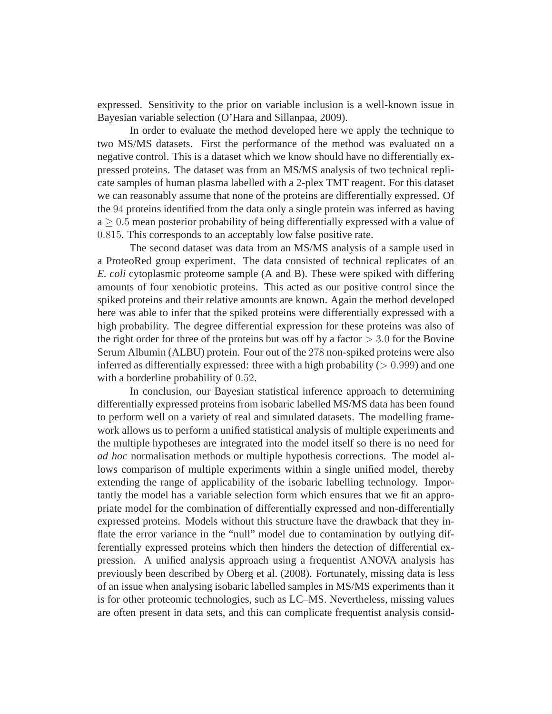expressed. Sensitivity to the prior on variable inclusion is a well-known issue in Bayesian variable selection (O'Hara and Sillanpaa, 2009).

In order to evaluate the method developed here we apply the technique to two MS/MS datasets. First the performance of the method was evaluated on a negative control. This is a dataset which we know should have no differentially expressed proteins. The dataset was from an MS/MS analysis of two technical replicate samples of human plasma labelled with a 2-plex TMT reagent. For this dataset we can reasonably assume that none of the proteins are differentially expressed. Of the 94 proteins identified from the data only a single protein was inferred as having  $a > 0.5$  mean posterior probability of being differentially expressed with a value of 0.815. This corresponds to an acceptably low false positive rate.

The second dataset was data from an MS/MS analysis of a sample used in a ProteoRed group experiment. The data consisted of technical replicates of an *E. coli* cytoplasmic proteome sample (A and B). These were spiked with differing amounts of four xenobiotic proteins. This acted as our positive control since the spiked proteins and their relative amounts are known. Again the method developed here was able to infer that the spiked proteins were differentially expressed with a high probability. The degree differential expression for these proteins was also of the right order for three of the proteins but was off by a factor  $> 3.0$  for the Bovine Serum Albumin (ALBU) protein. Four out of the 278 non-spiked proteins were also inferred as differentially expressed: three with a high probability  $(> 0.999)$  and one with a borderline probability of 0.52.

In conclusion, our Bayesian statistical inference approach to determining differentially expressed proteins from isobaric labelled MS/MS data has been found to perform well on a variety of real and simulated datasets. The modelling framework allows us to perform a unified statistical analysis of multiple experiments and the multiple hypotheses are integrated into the model itself so there is no need for *ad hoc* normalisation methods or multiple hypothesis corrections. The model allows comparison of multiple experiments within a single unified model, thereby extending the range of applicability of the isobaric labelling technology. Importantly the model has a variable selection form which ensures that we fit an appropriate model for the combination of differentially expressed and non-differentially expressed proteins. Models without this structure have the drawback that they inflate the error variance in the "null" model due to contamination by outlying differentially expressed proteins which then hinders the detection of differential expression. A unified analysis approach using a frequentist ANOVA analysis has previously been described by Oberg et al. (2008). Fortunately, missing data is less of an issue when analysing isobaric labelled samples in MS/MS experiments than it is for other proteomic technologies, such as LC–MS. Nevertheless, missing values are often present in data sets, and this can complicate frequentist analysis consid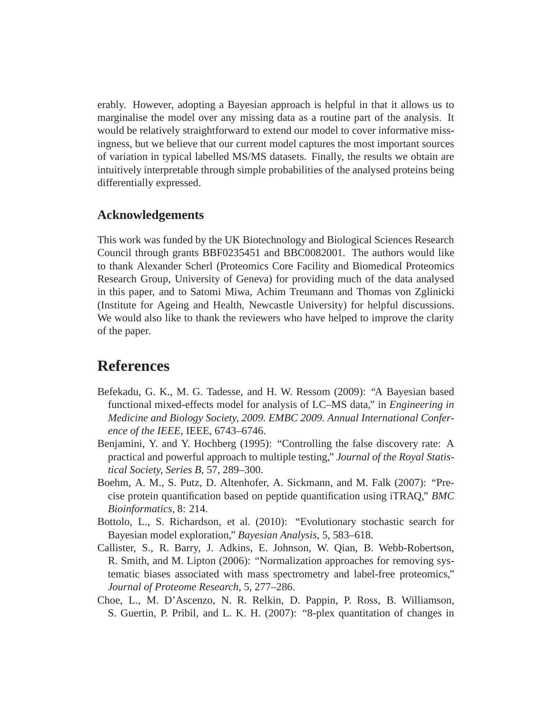erably. However, adopting a Bayesian approach is helpful in that it allows us to marginalise the model over any missing data as a routine part of the analysis. It would be relatively straightforward to extend our model to cover informative missingness, but we believe that our current model captures the most important sources of variation in typical labelled MS/MS datasets. Finally, the results we obtain are intuitively interpretable through simple probabilities of the analysed proteins being differentially expressed.

#### **Acknowledgements**

This work was funded by the UK Biotechnology and Biological Sciences Research Council through grants BBF0235451 and BBC0082001. The authors would like to thank Alexander Scherl (Proteomics Core Facility and Biomedical Proteomics Research Group, University of Geneva) for providing much of the data analysed in this paper, and to Satomi Miwa, Achim Treumann and Thomas von Zglinicki (Institute for Ageing and Health, Newcastle University) for helpful discussions. We would also like to thank the reviewers who have helped to improve the clarity of the paper.

### **References**

- Befekadu, G. K., M. G. Tadesse, and H. W. Ressom (2009): "A Bayesian based functional mixed-effects model for analysis of LC–MS data," in *Engineering in Medicine and Biology Society, 2009. EMBC 2009. Annual International Conference of the IEEE*, IEEE, 6743–6746.
- Benjamini, Y. and Y. Hochberg (1995): "Controlling the false discovery rate: A practical and powerful approach to multiple testing," *Journal of the Royal Statistical Society, Series B*, 57, 289–300.
- Boehm, A. M., S. Putz, D. Altenhofer, A. Sickmann, and M. Falk (2007): "Precise protein quantification based on peptide quantification using iTRAQ," *BMC Bioinformatics*, 8: 214.
- Bottolo, L., S. Richardson, et al. (2010): "Evolutionary stochastic search for Bayesian model exploration," *Bayesian Analysis*, 5, 583–618.
- Callister, S., R. Barry, J. Adkins, E. Johnson, W. Qian, B. Webb-Robertson, R. Smith, and M. Lipton (2006): "Normalization approaches for removing systematic biases associated with mass spectrometry and label-free proteomics," *Journal of Proteome Research*, 5, 277–286.
- Choe, L., M. D'Ascenzo, N. R. Relkin, D. Pappin, P. Ross, B. Williamson, S. Guertin, P. Pribil, and L. K. H. (2007): "8-plex quantitation of changes in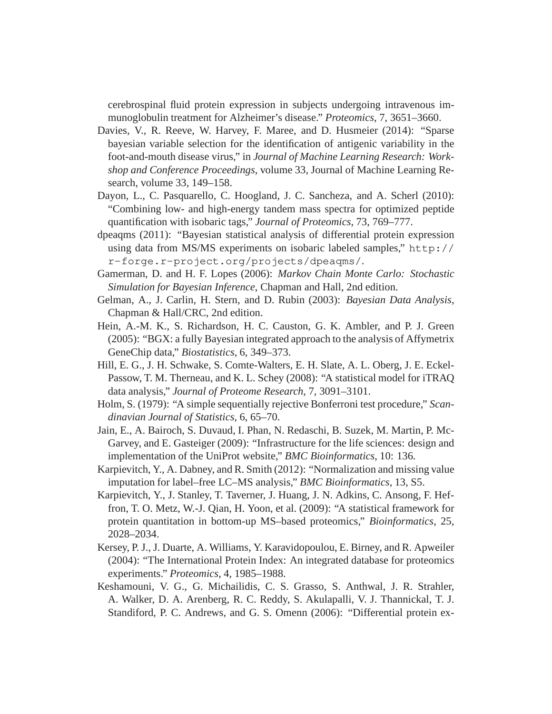cerebrospinal fluid protein expression in subjects undergoing intravenous immunoglobulin treatment for Alzheimer's disease." *Proteomics*, 7, 3651–3660.

- Davies, V., R. Reeve, W. Harvey, F. Maree, and D. Husmeier (2014): "Sparse bayesian variable selection for the identification of antigenic variability in the foot-and-mouth disease virus," in *Journal of Machine Learning Research: Workshop and Conference Proceedings*, volume 33, Journal of Machine Learning Research, volume 33, 149–158.
- Dayon, L., C. Pasquarello, C. Hoogland, J. C. Sancheza, and A. Scherl (2010): "Combining low- and high-energy tandem mass spectra for optimized peptide quantification with isobaric tags," *Journal of Proteomics*, 73, 769–777.
- dpeaqms (2011): "Bayesian statistical analysis of differential protein expression using data from MS/MS experiments on isobaric labeled samples," http:// r-forge.r-project.org/projects/dpeaqms/.
- Gamerman, D. and H. F. Lopes (2006): *Markov Chain Monte Carlo: Stochastic Simulation for Bayesian Inference*, Chapman and Hall, 2nd edition.
- Gelman, A., J. Carlin, H. Stern, and D. Rubin (2003): *Bayesian Data Analysis*, Chapman & Hall/CRC, 2nd edition.
- Hein, A.-M. K., S. Richardson, H. C. Causton, G. K. Ambler, and P. J. Green (2005): "BGX: a fully Bayesian integrated approach to the analysis of Affymetrix GeneChip data," *Biostatistics*, 6, 349–373.
- Hill, E. G., J. H. Schwake, S. Comte-Walters, E. H. Slate, A. L. Oberg, J. E. Eckel-Passow, T. M. Therneau, and K. L. Schey (2008): "A statistical model for iTRAQ data analysis," *Journal of Proteome Research*, 7, 3091–3101.
- Holm, S. (1979): "A simple sequentially rejective Bonferroni test procedure," *Scandinavian Journal of Statistics*, 6, 65–70.
- Jain, E., A. Bairoch, S. Duvaud, I. Phan, N. Redaschi, B. Suzek, M. Martin, P. Mc-Garvey, and E. Gasteiger (2009): "Infrastructure for the life sciences: design and implementation of the UniProt website," *BMC Bioinformatics*, 10: 136.
- Karpievitch, Y., A. Dabney, and R. Smith (2012): "Normalization and missing value imputation for label–free LC–MS analysis," *BMC Bioinformatics*, 13, S5.
- Karpievitch, Y., J. Stanley, T. Taverner, J. Huang, J. N. Adkins, C. Ansong, F. Heffron, T. O. Metz, W.-J. Qian, H. Yoon, et al. (2009): "A statistical framework for protein quantitation in bottom-up MS–based proteomics," *Bioinformatics*, 25, 2028–2034.
- Kersey, P. J., J. Duarte, A. Williams, Y. Karavidopoulou, E. Birney, and R. Apweiler (2004): "The International Protein Index: An integrated database for proteomics experiments." *Proteomics*, 4, 1985–1988.
- Keshamouni, V. G., G. Michailidis, C. S. Grasso, S. Anthwal, J. R. Strahler, A. Walker, D. A. Arenberg, R. C. Reddy, S. Akulapalli, V. J. Thannickal, T. J. Standiford, P. C. Andrews, and G. S. Omenn (2006): "Differential protein ex-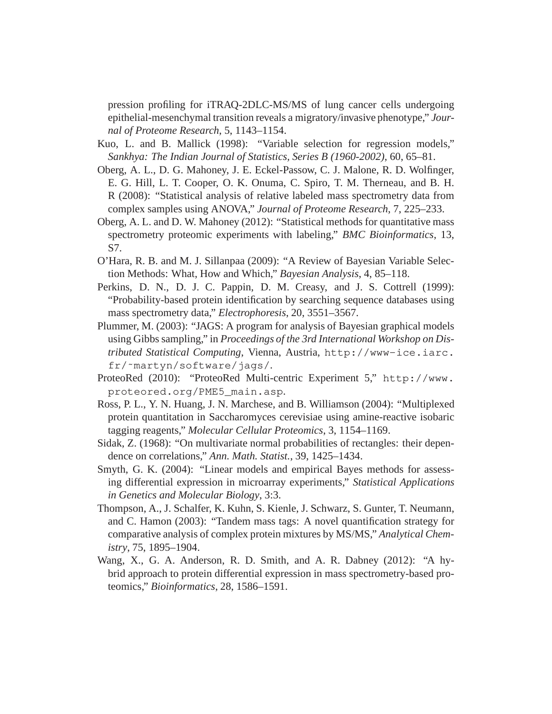pression profiling for iTRAQ-2DLC-MS/MS of lung cancer cells undergoing epithelial-mesenchymal transition reveals a migratory/invasive phenotype," *Journal of Proteome Research*, 5, 1143–1154.

- Kuo, L. and B. Mallick (1998): "Variable selection for regression models," *Sankhya: The Indian Journal of Statistics, Series B (1960-2002)*, 60, 65–81.
- Oberg, A. L., D. G. Mahoney, J. E. Eckel-Passow, C. J. Malone, R. D. Wolfinger, E. G. Hill, L. T. Cooper, O. K. Onuma, C. Spiro, T. M. Therneau, and B. H. R (2008): "Statistical analysis of relative labeled mass spectrometry data from complex samples using ANOVA," *Journal of Proteome Research*, 7, 225–233.
- Oberg, A. L. and D. W. Mahoney (2012): "Statistical methods for quantitative mass spectrometry proteomic experiments with labeling," *BMC Bioinformatics*, 13, S7.
- O'Hara, R. B. and M. J. Sillanpaa (2009): "A Review of Bayesian Variable Selection Methods: What, How and Which," *Bayesian Analysis*, 4, 85–118.
- Perkins, D. N., D. J. C. Pappin, D. M. Creasy, and J. S. Cottrell (1999): "Probability-based protein identification by searching sequence databases using mass spectrometry data," *Electrophoresis*, 20, 3551–3567.
- Plummer, M. (2003): "JAGS: A program for analysis of Bayesian graphical models using Gibbs sampling," in *Proceedings of the 3rd International Workshop on Distributed Statistical Computing*, Vienna, Austria, http://www-ice.iarc. fr/˜martyn/software/jags/.
- ProteoRed (2010): "ProteoRed Multi-centric Experiment 5," http://www. proteored.org/PME5\_main.asp.
- Ross, P. L., Y. N. Huang, J. N. Marchese, and B. Williamson (2004): "Multiplexed protein quantitation in Saccharomyces cerevisiae using amine-reactive isobaric tagging reagents," *Molecular Cellular Proteomics*, 3, 1154–1169.
- Sidak, Z. (1968): "On multivariate normal probabilities of rectangles: their dependence on correlations," *Ann. Math. Statist.*, 39, 1425–1434.
- Smyth, G. K. (2004): "Linear models and empirical Bayes methods for assessing differential expression in microarray experiments," *Statistical Applications in Genetics and Molecular Biology*, 3:3.
- Thompson, A., J. Schalfer, K. Kuhn, S. Kienle, J. Schwarz, S. Gunter, T. Neumann, and C. Hamon (2003): "Tandem mass tags: A novel quantification strategy for comparative analysis of complex protein mixtures by MS/MS," *Analytical Chemistry*, 75, 1895–1904.
- Wang, X., G. A. Anderson, R. D. Smith, and A. R. Dabney (2012): "A hybrid approach to protein differential expression in mass spectrometry-based proteomics," *Bioinformatics*, 28, 1586–1591.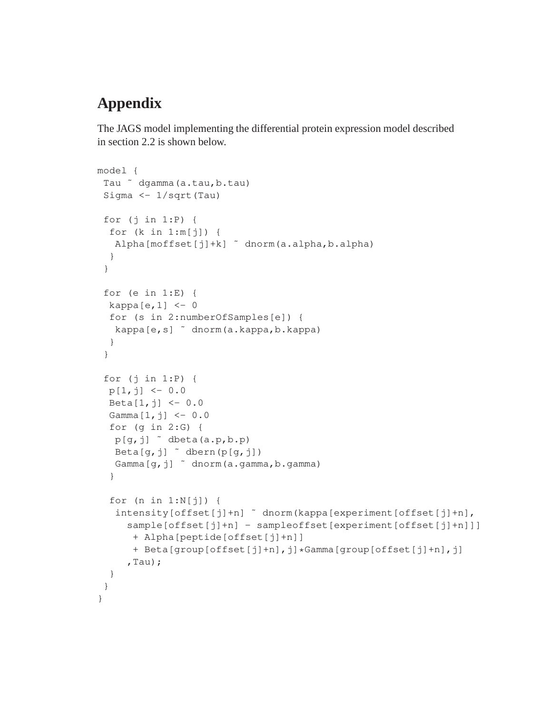# **Appendix**

The JAGS model implementing the differential protein expression model described in section 2.2 is shown below.

```
model {
 Tau ˜ dgamma(a.tau,b.tau)
 Sigma <- 1/sqrt(Tau)
 for (j in 1:P) {
  for (k in 1:m[j]) {
   Alpha[moffset[j]+k] ˜ dnorm(a.alpha,b.alpha)
  }
 }
 for (e in 1:E) {
  kappa[e, 1] <- 0
  for (s in 2:numberOfSamples[e]) {
  kappa[e,s] ˜ dnorm(a.kappa,b.kappa)
  }
 }
 for (j in 1:P) {
  p[1,j] < -0.0Beta[1, j] <- 0.0
  Gamma[1, j] <- 0.0
  for (g in 2:G) {
   p[q, j] \sim dbeta(a.p,b.p)
   Beta[g, j] \tilde{ } dbern(p[g, j])
   Gamma[g,j] ~ dnorm(a.gamma,b.gamma)
  }
  for (n in 1:N[j]) {
   intensity[offset[j]+n] ˜ dnorm(kappa[experiment[offset[j]+n],
     sample[offset[j]+n] - sampleoffset[experiment[offset[j]+n]]]
      + Alpha[peptide[offset[j]+n]]
      + Beta[group[offset[j]+n],j]*Gamma[group[offset[j]+n],j]
     , Tau) ;}
 }
}
```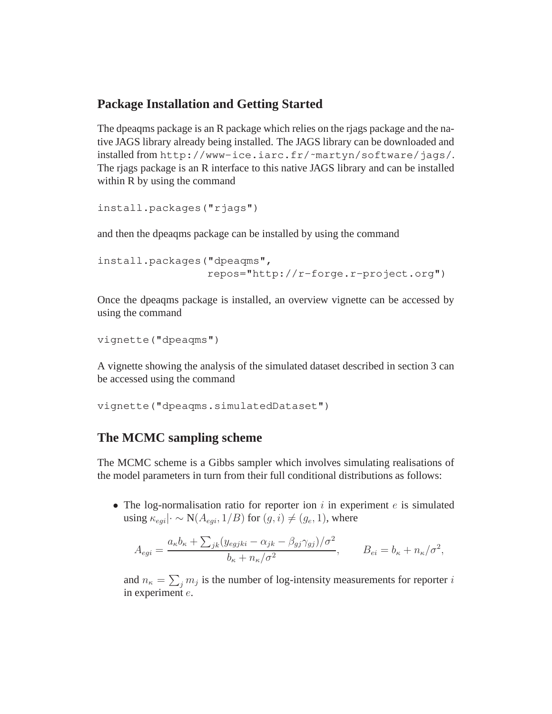### **Package Installation and Getting Started**

The dpeaqms package is an R package which relies on the rjags package and the native JAGS library already being installed. The JAGS library can be downloaded and installed from http://www-ice.iarc.fr/~martyn/software/jags/. The rjags package is an R interface to this native JAGS library and can be installed within R by using the command

```
install.packages("rjags")
```
and then the dpeaqms package can be installed by using the command

```
install.packages("dpeaqms",
                 repos="http://r-forge.r-project.org")
```
Once the dpeaqms package is installed, an overview vignette can be accessed by using the command

```
vignette("dpeaqms")
```
A vignette showing the analysis of the simulated dataset described in section 3 can be accessed using the command

vignette("dpeaqms.simulatedDataset")

### **The MCMC sampling scheme**

The MCMC scheme is a Gibbs sampler which involves simulating realisations of the model parameters in turn from their full conditional distributions as follows:

• The log-normalisation ratio for reporter ion  $i$  in experiment  $e$  is simulated using  $\kappa_{eqi}$   $\cdot \sim N(A_{eqi}, 1/B)$  for  $(g, i) \neq (g_e, 1)$ , where

$$
A_{egi} = \frac{a_{\kappa}b_{\kappa} + \sum_{jk}(y_{egjki} - \alpha_{jk} - \beta_{gj}\gamma_{gj})/\sigma^2}{b_{\kappa} + n_{\kappa}/\sigma^2}, \qquad B_{ei} = b_{\kappa} + n_{\kappa}/\sigma^2,
$$

and  $n_{\kappa} = \sum_j m_j$  is the number of log-intensity measurements for reporter i in experiment e.